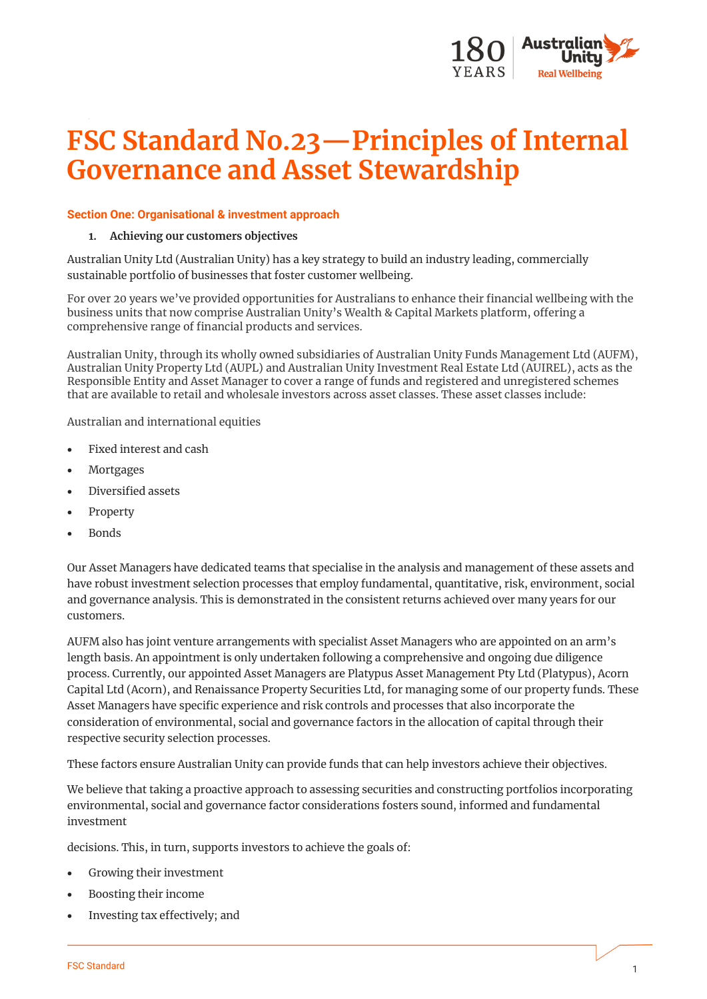

# **FSC Standard No.23—Principles of Internal Governance and Asset Stewardship**

#### **Section One: Organisational & investment approach**

#### **1. Achieving our customers objectives**

Australian Unity Ltd (Australian Unity) has a key strategy to build an industry leading, commercially sustainable portfolio of businesses that foster customer wellbeing.

For over 20 years we've provided opportunities for Australians to enhance their financial wellbeing with the business units that now comprise Australian Unity's Wealth & Capital Markets platform, offering a comprehensive range of financial products and services.

Australian Unity, through its wholly owned subsidiaries of Australian Unity Funds Management Ltd (AUFM), Australian Unity Property Ltd (AUPL) and Australian Unity Investment Real Estate Ltd (AUIREL), acts as the Responsible Entity and Asset Manager to cover a range of funds and registered and unregistered schemes that are available to retail and wholesale investors across asset classes. These asset classes include:

Australian and international equities

- Fixed interest and cash
- **Mortgages**
- Diversified assets
- **Property**
- Bonds

Our Asset Managers have dedicated teams that specialise in the analysis and management of these assets and have robust investment selection processes that employ fundamental, quantitative, risk, environment, social and governance analysis. This is demonstrated in the consistent returns achieved over many years for our customers.

AUFM also has joint venture arrangements with specialist Asset Managers who are appointed on an arm's length basis. An appointment is only undertaken following a comprehensive and ongoing due diligence process. Currently, our appointed Asset Managers are Platypus Asset Management Pty Ltd (Platypus), Acorn Capital Ltd (Acorn), and Renaissance Property Securities Ltd, for managing some of our property funds. These Asset Managers have specific experience and risk controls and processes that also incorporate the consideration of environmental, social and governance factors in the allocation of capital through their respective security selection processes.

These factors ensure Australian Unity can provide funds that can help investors achieve their objectives.

We believe that taking a proactive approach to assessing securities and constructing portfolios incorporating environmental, social and governance factor considerations fosters sound, informed and fundamental investment

decisions. This, in turn, supports investors to achieve the goals of:

- Growing their investment
- Boosting their income
- Investing tax effectively; and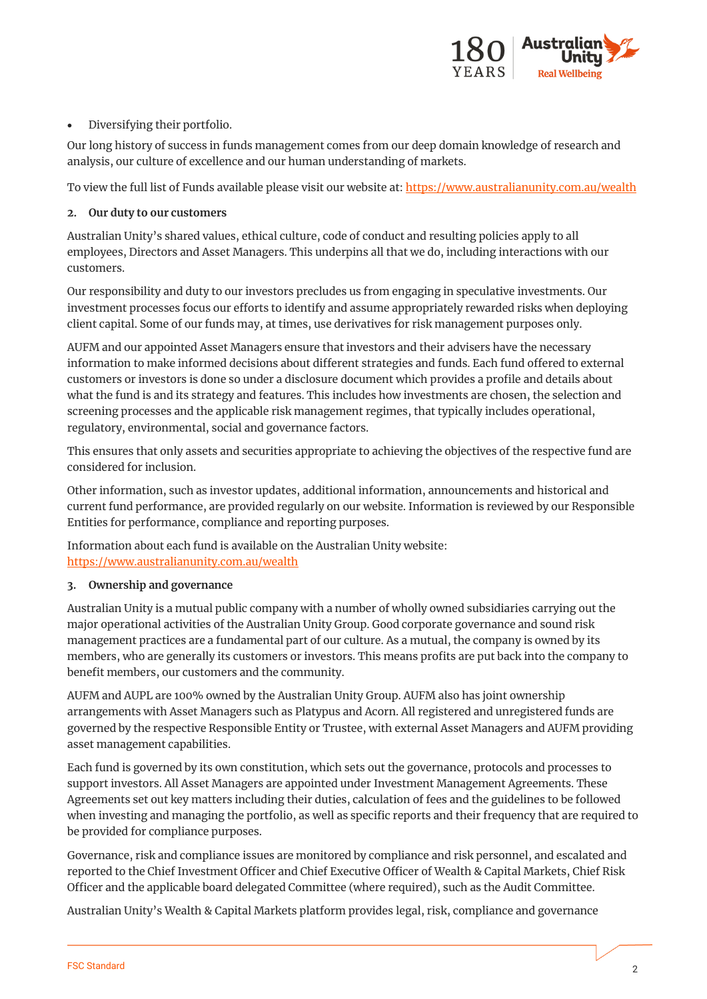

## • Diversifying their portfolio.

Our long history of success in funds management comes from our deep domain knowledge of research and analysis, our culture of excellence and our human understanding of markets.

To view the full list of Funds available please visit our website at[: https://www.australianunity.com.au/wealth](https://www.australianunity.com.au/wealth)

#### **2. Our duty to our customers**

Australian Unity's shared values, ethical culture, code of conduct and resulting policies apply to all employees, Directors and Asset Managers. This underpins all that we do, including interactions with our customers.

Our responsibility and duty to our investors precludes us from engaging in speculative investments. Our investment processes focus our efforts to identify and assume appropriately rewarded risks when deploying client capital. Some of our funds may, at times, use derivatives for risk management purposes only.

AUFM and our appointed Asset Managers ensure that investors and their advisers have the necessary information to make informed decisions about different strategies and funds. Each fund offered to external customers or investors is done so under a disclosure document which provides a profile and details about what the fund is and its strategy and features. This includes how investments are chosen, the selection and screening processes and the applicable risk management regimes, that typically includes operational, regulatory, environmental, social and governance factors.

This ensures that only assets and securities appropriate to achieving the objectives of the respective fund are considered for inclusion.

Other information, such as investor updates, additional information, announcements and historical and current fund performance, are provided regularly on our website. Information is reviewed by our Responsible Entities for performance, compliance and reporting purposes.

Information about each fund is available on the Australian Unity website: <https://www.australianunity.com.au/wealth>

## **3. Ownership and governance**

Australian Unity is a mutual public company with a number of wholly owned subsidiaries carrying out the major operational activities of the Australian Unity Group. Good corporate governance and sound risk management practices are a fundamental part of our culture. As a mutual, the company is owned by its members, who are generally its customers or investors. This means profits are put back into the company to benefit members, our customers and the community.

AUFM and AUPL are 100% owned by the Australian Unity Group. AUFM also has joint ownership arrangements with Asset Managers such as Platypus and Acorn. All registered and unregistered funds are governed by the respective Responsible Entity or Trustee, with external Asset Managers and AUFM providing asset management capabilities.

Each fund is governed by its own constitution, which sets out the governance, protocols and processes to support investors. All Asset Managers are appointed under Investment Management Agreements. These Agreements set out key matters including their duties, calculation of fees and the guidelines to be followed when investing and managing the portfolio, as well as specific reports and their frequency that are required to be provided for compliance purposes.

Governance, risk and compliance issues are monitored by compliance and risk personnel, and escalated and reported to the Chief Investment Officer and Chief Executive Officer of Wealth & Capital Markets, Chief Risk Officer and the applicable board delegated Committee (where required), such as the Audit Committee.

Australian Unity's Wealth & Capital Markets platform provides legal, risk, compliance and governance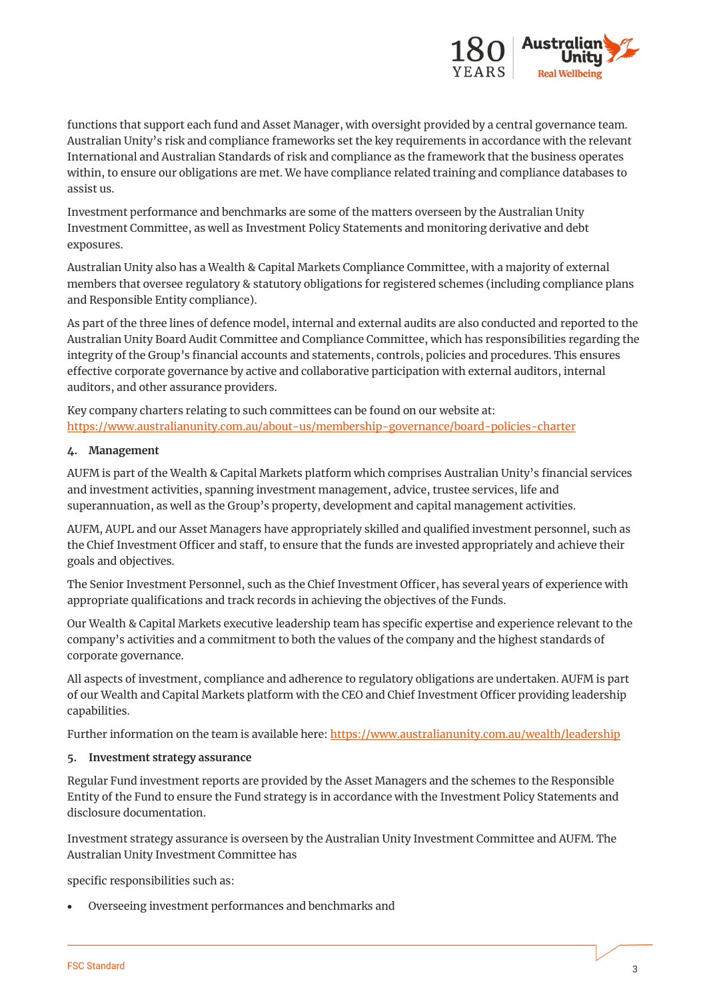

functions that support each fund and Asset Manager, with oversight provided by a central governance team. Australian Unity's risk and compliance frameworks set the key requirements in accordance with the relevant International and Australian Standards of risk and compliance as the framework that the business operates within, to ensure our obligations are met. We have compliance related training and compliance databases to assist us.

Investment performance and benchmarks are some of the matters overseen by the Australian Unity Investment Committee, as well as Investment Policy Statements and monitoring derivative and debt exposures.

Australian Unity also has a Wealth & Capital Markets Compliance Committee, with a majority of external members that oversee regulatory & statutory obligations for registered schemes (including compliance plans and Responsible Entity compliance).

As part of the three lines of defence model, internal and external audits are also conducted and reported to the Australian Unity Board Audit Committee and Compliance Committee, which has responsibilities regarding the integrity of the Group's financial accounts and statements, controls, policies and procedures. This ensures effective corporate governance by active and collaborative participation with external auditors, internal auditors, and other assurance providers.

Key company charters relating to such committees can be found on our website at: <https://www.australianunity.com.au/about-us/membership-governance/board-policies-charter>

## **4. Management**

AUFM is part of the Wealth & Capital Markets platform which comprises Australian Unity's financial services and investment activities, spanning investment management, advice, trustee services, life and superannuation, as well as the Group's property, development and capital management activities.

AUFM, AUPL and our Asset Managers have appropriately skilled and qualified investment personnel, such as the Chief Investment Officer and staff, to ensure that the funds are invested appropriately and achieve their goals and objectives.

The Senior Investment Personnel, such as the Chief Investment Officer, has several years of experience with appropriate qualifications and track records in achieving the objectives of the Funds.

Our Wealth & Capital Markets executive leadership team has specific expertise and experience relevant to the company's activities and a commitment to both the values of the company and the highest standards of corporate governance.

All aspects of investment, compliance and adherence to regulatory obligations are undertaken. AUFM is part of our Wealth and Capital Markets platform with the CEO and Chief Investment Officer providing leadership capabilities.

Further information on the team is available here: <https://www.australianunity.com.au/wealth/leadership>

## **5. Investment strategy assurance**

Regular Fund investment reports are provided by the Asset Managers and the schemes to the Responsible Entity of the Fund to ensure the Fund strategy is in accordance with the Investment Policy Statements and disclosure documentation.

Investment strategy assurance is overseen by the Australian Unity Investment Committee and AUFM. The Australian Unity Investment Committee has

specific responsibilities such as:

• Overseeing investment performances and benchmarks and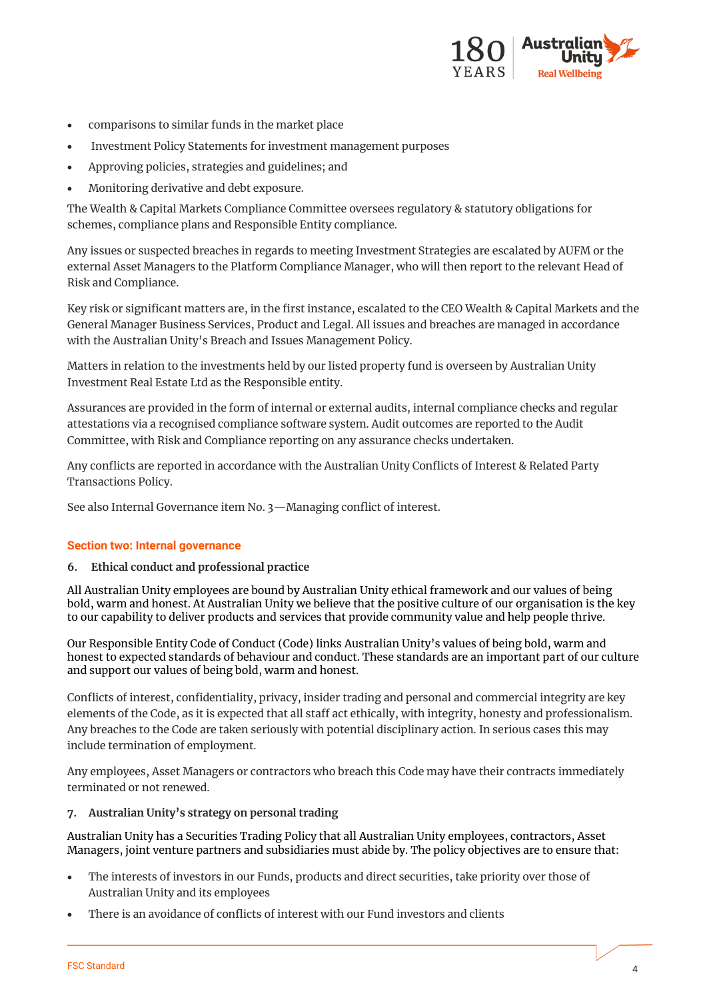

- comparisons to similar funds in the market place
- Investment Policy Statements for investment management purposes
- Approving policies, strategies and guidelines; and
- Monitoring derivative and debt exposure.

The Wealth & Capital Markets Compliance Committee oversees regulatory & statutory obligations for schemes, compliance plans and Responsible Entity compliance.

Any issues or suspected breaches in regards to meeting Investment Strategies are escalated by AUFM or the external Asset Managers to the Platform Compliance Manager, who will then report to the relevant Head of Risk and Compliance.

Key risk or significant matters are, in the first instance, escalated to the CEO Wealth & Capital Markets and the General Manager Business Services, Product and Legal. All issues and breaches are managed in accordance with the Australian Unity's Breach and Issues Management Policy.

Matters in relation to the investments held by our listed property fund is overseen by Australian Unity Investment Real Estate Ltd as the Responsible entity.

Assurances are provided in the form of internal or external audits, internal compliance checks and regular attestations via a recognised compliance software system. Audit outcomes are reported to the Audit Committee, with Risk and Compliance reporting on any assurance checks undertaken.

Any conflicts are reported in accordance with the Australian Unity Conflicts of Interest & Related Party Transactions Policy.

See also Internal Governance item No. 3—Managing conflict of interest.

#### **Section two: Internal governance**

#### **6. Ethical conduct and professional practice**

All Australian Unity employees are bound by Australian Unity ethical framework and our values of being bold, warm and honest. At Australian Unity we believe that the positive culture of our organisation is the key to our capability to deliver products and services that provide community value and help people thrive.

Our Responsible Entity Code of Conduct (Code) links Australian Unity's values of being bold, warm and honest to expected standards of behaviour and conduct. These standards are an important part of our culture and support our values of being bold, warm and honest.

Conflicts of interest, confidentiality, privacy, insider trading and personal and commercial integrity are key elements of the Code, as it is expected that all staff act ethically, with integrity, honesty and professionalism. Any breaches to the Code are taken seriously with potential disciplinary action. In serious cases this may include termination of employment.

Any employees, Asset Managers or contractors who breach this Code may have their contracts immediately terminated or not renewed.

## **7. Australian Unity's strategy on personal trading**

Australian Unity has a Securities Trading Policy that all Australian Unity employees, contractors, Asset Managers, joint venture partners and subsidiaries must abide by. The policy objectives are to ensure that:

- The interests of investors in our Funds, products and direct securities, take priority over those of Australian Unity and its employees
- There is an avoidance of conflicts of interest with our Fund investors and clients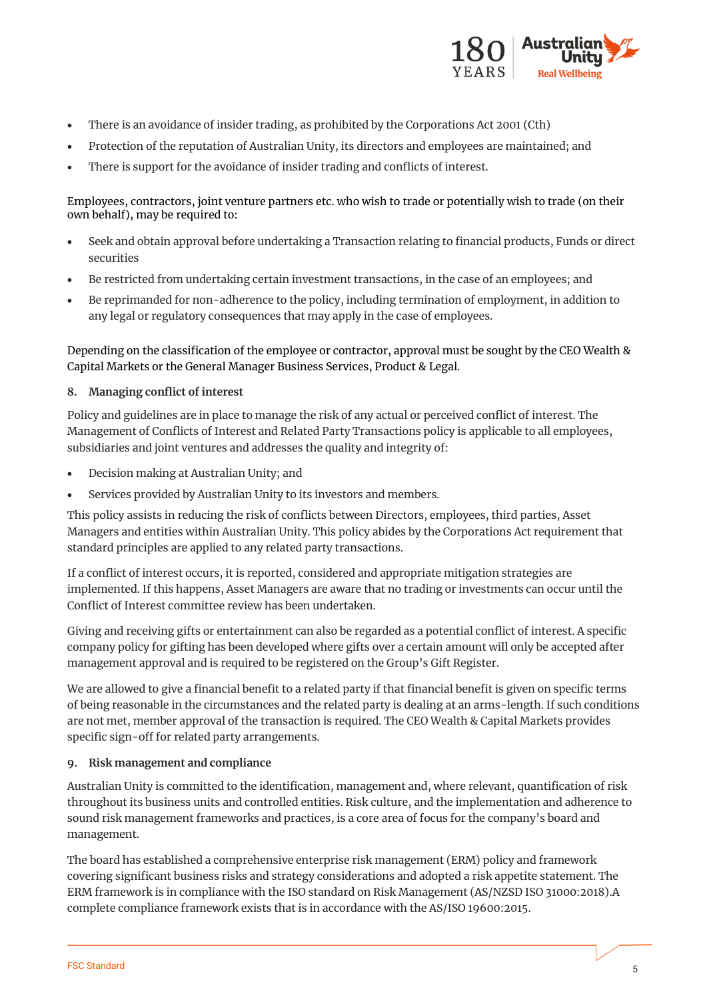

- There is an avoidance of insider trading, as prohibited by the Corporations Act 2001 (Cth)
- Protection of the reputation of Australian Unity, its directors and employees are maintained; and
- There is support for the avoidance of insider trading and conflicts of interest.

## Employees, contractors, joint venture partners etc. who wish to trade or potentially wish to trade (on their own behalf), may be required to:

- Seek and obtain approval before undertaking a Transaction relating to financial products, Funds or direct securities
- Be restricted from undertaking certain investment transactions, in the case of an employees; and
- Be reprimanded for non-adherence to the policy, including termination of employment, in addition to any legal or regulatory consequences that may apply in the case of employees.

Depending on the classification of the employee or contractor, approval must be sought by the CEO Wealth & Capital Markets or the General Manager Business Services, Product & Legal.

## **8. Managing conflict of interest**

Policy and guidelines are in place to manage the risk of any actual or perceived conflict of interest. The Management of Conflicts of Interest and Related Party Transactions policy is applicable to all employees, subsidiaries and joint ventures and addresses the quality and integrity of:

- Decision making at Australian Unity; and
- Services provided by Australian Unity to its investors and members.

This policy assists in reducing the risk of conflicts between Directors, employees, third parties, Asset Managers and entities within Australian Unity. This policy abides by the Corporations Act requirement that standard principles are applied to any related party transactions.

If a conflict of interest occurs, it is reported, considered and appropriate mitigation strategies are implemented. If this happens, Asset Managers are aware that no trading or investments can occur until the Conflict of Interest committee review has been undertaken.

Giving and receiving gifts or entertainment can also be regarded as a potential conflict of interest. A specific company policy for gifting has been developed where gifts over a certain amount will only be accepted after management approval and is required to be registered on the Group's Gift Register.

We are allowed to give a financial benefit to a related party if that financial benefit is given on specific terms of being reasonable in the circumstances and the related party is dealing at an arms-length. If such conditions are not met, member approval of the transaction is required. The CEO Wealth & Capital Markets provides specific sign-off for related party arrangements.

## **9. Risk management and compliance**

Australian Unity is committed to the identification, management and, where relevant, quantification of risk throughout its business units and controlled entities. Risk culture, and the implementation and adherence to sound risk management frameworks and practices, is a core area of focus for the company's board and management.

The board has established a comprehensive enterprise risk management (ERM) policy and framework covering significant business risks and strategy considerations and adopted a risk appetite statement. The ERM framework is in compliance with the ISO standard on Risk Management (AS/NZSD ISO 31000:2018).A complete compliance framework exists that is in accordance with the AS/ISO 19600:2015.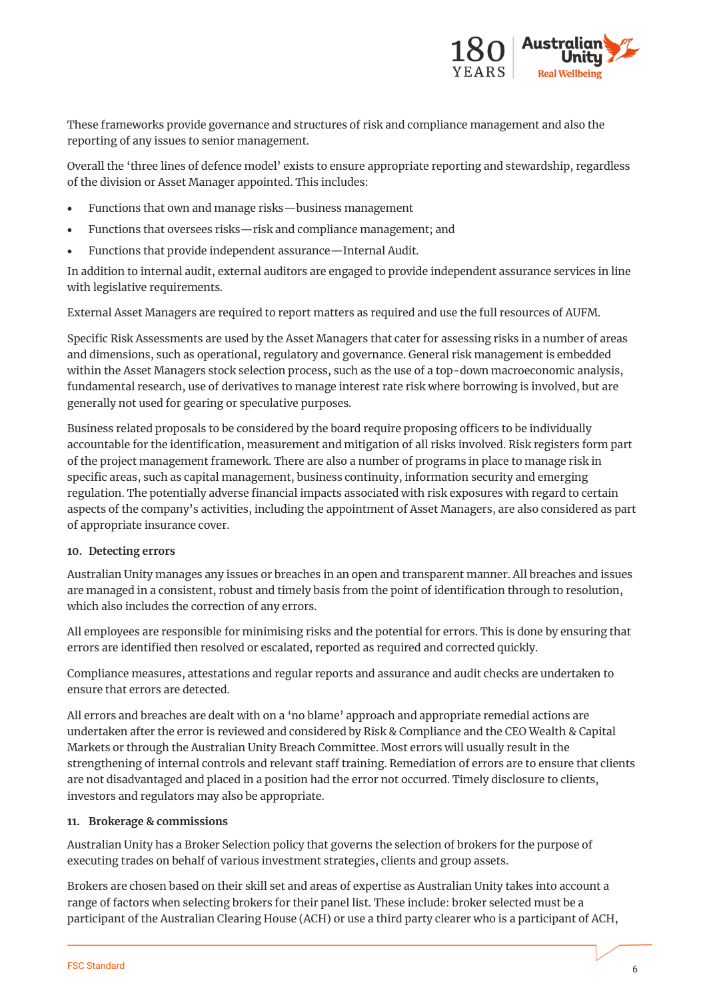

These frameworks provide governance and structures of risk and compliance management and also the reporting of any issues to senior management.

Overall the 'three lines of defence model' exists to ensure appropriate reporting and stewardship, regardless of the division or Asset Manager appointed. This includes:

- Functions that own and manage risks—business management
- Functions that oversees risks—risk and compliance management; and
- Functions that provide independent assurance—Internal Audit.

In addition to internal audit, external auditors are engaged to provide independent assurance services in line with legislative requirements.

External Asset Managers are required to report matters as required and use the full resources of AUFM.

Specific Risk Assessments are used by the Asset Managers that cater for assessing risks in a number of areas and dimensions, such as operational, regulatory and governance. General risk management is embedded within the Asset Managers stock selection process, such as the use of a top-down macroeconomic analysis, fundamental research, use of derivatives to manage interest rate risk where borrowing is involved, but are generally not used for gearing or speculative purposes.

Business related proposals to be considered by the board require proposing officers to be individually accountable for the identification, measurement and mitigation of all risks involved. Risk registers form part of the project management framework. There are also a number of programs in place to manage risk in specific areas, such as capital management, business continuity, information security and emerging regulation. The potentially adverse financial impacts associated with risk exposures with regard to certain aspects of the company's activities, including the appointment of Asset Managers, are also considered as part of appropriate insurance cover.

#### **10. Detecting errors**

Australian Unity manages any issues or breaches in an open and transparent manner. All breaches and issues are managed in a consistent, robust and timely basis from the point of identification through to resolution, which also includes the correction of any errors.

All employees are responsible for minimising risks and the potential for errors. This is done by ensuring that errors are identified then resolved or escalated, reported as required and corrected quickly.

Compliance measures, attestations and regular reports and assurance and audit checks are undertaken to ensure that errors are detected.

All errors and breaches are dealt with on a 'no blame' approach and appropriate remedial actions are undertaken after the error is reviewed and considered by Risk & Compliance and the CEO Wealth & Capital Markets or through the Australian Unity Breach Committee. Most errors will usually result in the strengthening of internal controls and relevant staff training. Remediation of errors are to ensure that clients are not disadvantaged and placed in a position had the error not occurred. Timely disclosure to clients, investors and regulators may also be appropriate.

#### **11. Brokerage & commissions**

Australian Unity has a Broker Selection policy that governs the selection of brokers for the purpose of executing trades on behalf of various investment strategies, clients and group assets.

Brokers are chosen based on their skill set and areas of expertise as Australian Unity takes into account a range of factors when selecting brokers for their panel list. These include: broker selected must be a participant of the Australian Clearing House (ACH) or use a third party clearer who is a participant of ACH,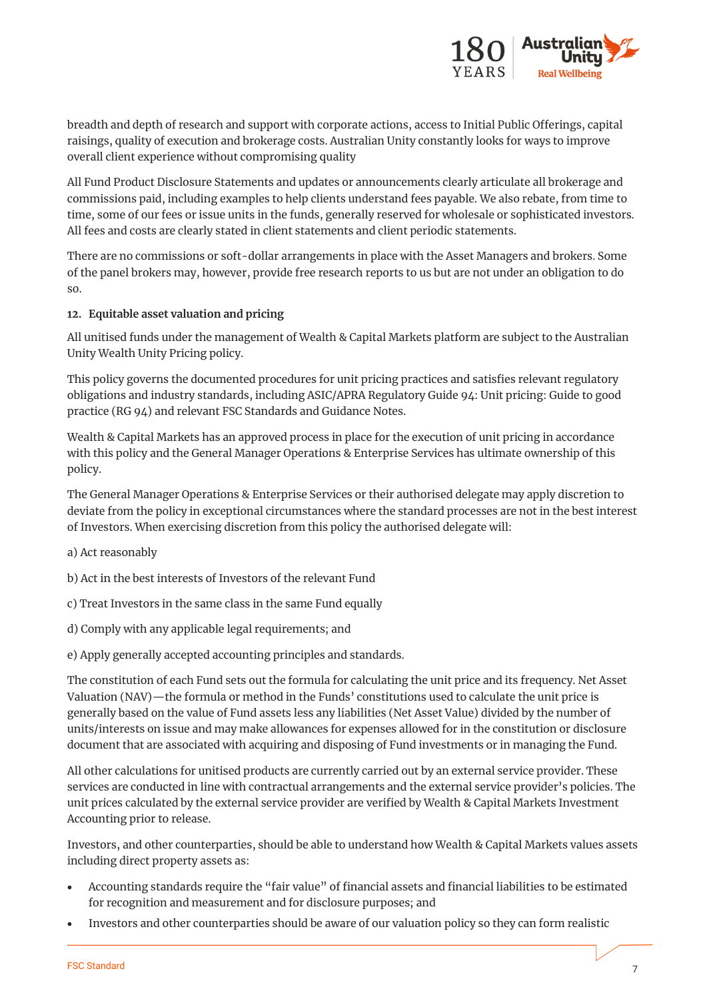

breadth and depth of research and support with corporate actions, access to Initial Public Offerings, capital raisings, quality of execution and brokerage costs. Australian Unity constantly looks for ways to improve overall client experience without compromising quality

All Fund Product Disclosure Statements and updates or announcements clearly articulate all brokerage and commissions paid, including examples to help clients understand fees payable. We also rebate, from time to time, some of our fees or issue units in the funds, generally reserved for wholesale or sophisticated investors. All fees and costs are clearly stated in client statements and client periodic statements.

There are no commissions or soft-dollar arrangements in place with the Asset Managers and brokers. Some of the panel brokers may, however, provide free research reports to us but are not under an obligation to do so.

## **12. Equitable asset valuation and pricing**

All unitised funds under the management of Wealth & Capital Markets platform are subject to the Australian Unity Wealth Unity Pricing policy.

This policy governs the documented procedures for unit pricing practices and satisfies relevant regulatory obligations and industry standards, including ASIC/APRA Regulatory Guide 94: Unit pricing: Guide to good practice (RG 94) and relevant FSC Standards and Guidance Notes.

Wealth & Capital Markets has an approved process in place for the execution of unit pricing in accordance with this policy and the General Manager Operations & Enterprise Services has ultimate ownership of this policy.

The General Manager Operations & Enterprise Services or their authorised delegate may apply discretion to deviate from the policy in exceptional circumstances where the standard processes are not in the best interest of Investors. When exercising discretion from this policy the authorised delegate will:

- a) Act reasonably
- b) Act in the best interests of Investors of the relevant Fund
- c) Treat Investors in the same class in the same Fund equally
- d) Comply with any applicable legal requirements; and
- e) Apply generally accepted accounting principles and standards.

The constitution of each Fund sets out the formula for calculating the unit price and its frequency. Net Asset Valuation (NAV)—the formula or method in the Funds' constitutions used to calculate the unit price is generally based on the value of Fund assets less any liabilities (Net Asset Value) divided by the number of units/interests on issue and may make allowances for expenses allowed for in the constitution or disclosure document that are associated with acquiring and disposing of Fund investments or in managing the Fund.

All other calculations for unitised products are currently carried out by an external service provider. These services are conducted in line with contractual arrangements and the external service provider's policies. The unit prices calculated by the external service provider are verified by Wealth & Capital Markets Investment Accounting prior to release.

Investors, and other counterparties, should be able to understand how Wealth & Capital Markets values assets including direct property assets as:

- Accounting standards require the "fair value" of financial assets and financial liabilities to be estimated for recognition and measurement and for disclosure purposes; and
- Investors and other counterparties should be aware of our valuation policy so they can form realistic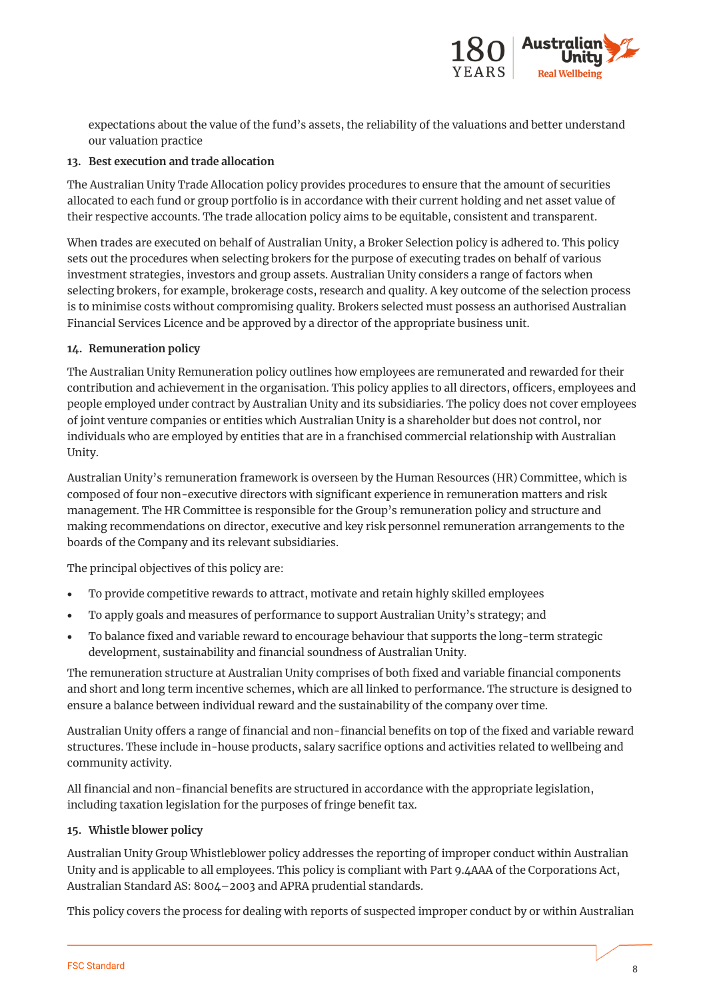

expectations about the value of the fund's assets, the reliability of the valuations and better understand our valuation practice

## **13. Best execution and trade allocation**

The Australian Unity Trade Allocation policy provides procedures to ensure that the amount of securities allocated to each fund or group portfolio is in accordance with their current holding and net asset value of their respective accounts. The trade allocation policy aims to be equitable, consistent and transparent.

When trades are executed on behalf of Australian Unity, a Broker Selection policy is adhered to. This policy sets out the procedures when selecting brokers for the purpose of executing trades on behalf of various investment strategies, investors and group assets. Australian Unity considers a range of factors when selecting brokers, for example, brokerage costs, research and quality. A key outcome of the selection process is to minimise costs without compromising quality. Brokers selected must possess an authorised Australian Financial Services Licence and be approved by a director of the appropriate business unit.

# **14. Remuneration policy**

The Australian Unity Remuneration policy outlines how employees are remunerated and rewarded for their contribution and achievement in the organisation. This policy applies to all directors, officers, employees and people employed under contract by Australian Unity and its subsidiaries. The policy does not cover employees of joint venture companies or entities which Australian Unity is a shareholder but does not control, nor individuals who are employed by entities that are in a franchised commercial relationship with Australian Unity.

Australian Unity's remuneration framework is overseen by the Human Resources (HR) Committee, which is composed of four non-executive directors with significant experience in remuneration matters and risk management. The HR Committee is responsible for the Group's remuneration policy and structure and making recommendations on director, executive and key risk personnel remuneration arrangements to the boards of the Company and its relevant subsidiaries.

The principal objectives of this policy are:

- To provide competitive rewards to attract, motivate and retain highly skilled employees
- To apply goals and measures of performance to support Australian Unity's strategy; and
- To balance fixed and variable reward to encourage behaviour that supports the long-term strategic development, sustainability and financial soundness of Australian Unity.

The remuneration structure at Australian Unity comprises of both fixed and variable financial components and short and long term incentive schemes, which are all linked to performance. The structure is designed to ensure a balance between individual reward and the sustainability of the company over time.

Australian Unity offers a range of financial and non-financial benefits on top of the fixed and variable reward structures. These include in-house products, salary sacrifice options and activities related to wellbeing and community activity.

All financial and non-financial benefits are structured in accordance with the appropriate legislation, including taxation legislation for the purposes of fringe benefit tax.

## **15. Whistle blower policy**

Australian Unity Group Whistleblower policy addresses the reporting of improper conduct within Australian Unity and is applicable to all employees. This policy is compliant with Part 9.4AAA of the Corporations Act, Australian Standard AS: 8004–2003 and APRA prudential standards.

This policy covers the process for dealing with reports of suspected improper conduct by or within Australian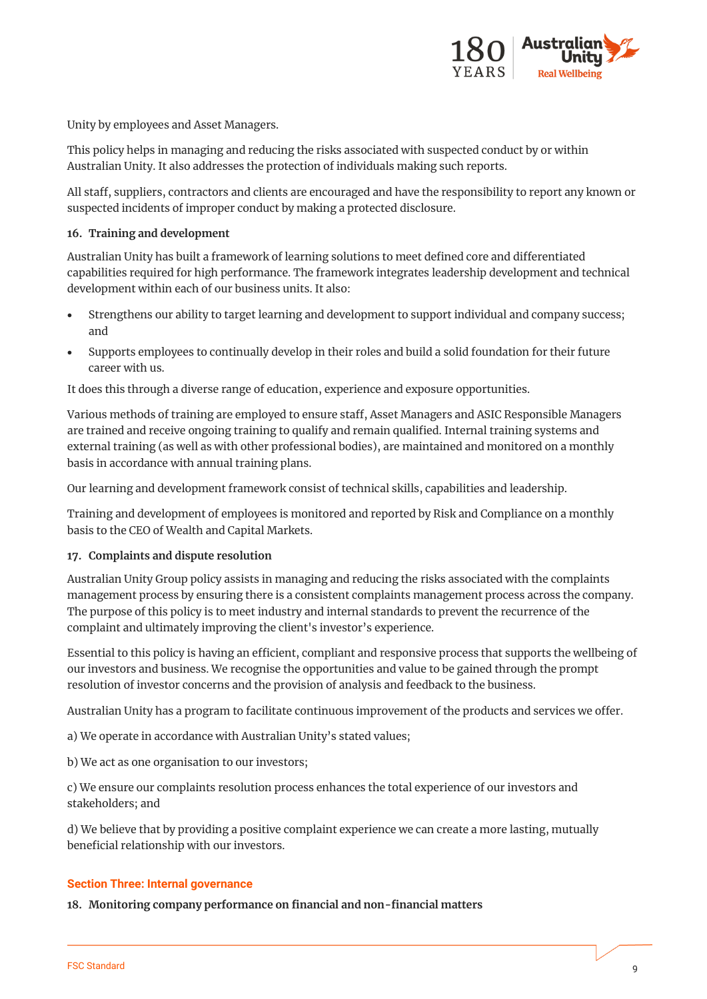

Unity by employees and Asset Managers.

This policy helps in managing and reducing the risks associated with suspected conduct by or within Australian Unity. It also addresses the protection of individuals making such reports.

All staff, suppliers, contractors and clients are encouraged and have the responsibility to report any known or suspected incidents of improper conduct by making a protected disclosure.

#### **16. Training and development**

Australian Unity has built a framework of learning solutions to meet defined core and differentiated capabilities required for high performance. The framework integrates leadership development and technical development within each of our business units. It also:

- Strengthens our ability to target learning and development to support individual and company success; and
- Supports employees to continually develop in their roles and build a solid foundation for their future career with us.

It does this through a diverse range of education, experience and exposure opportunities.

Various methods of training are employed to ensure staff, Asset Managers and ASIC Responsible Managers are trained and receive ongoing training to qualify and remain qualified. Internal training systems and external training (as well as with other professional bodies), are maintained and monitored on a monthly basis in accordance with annual training plans.

Our learning and development framework consist of technical skills, capabilities and leadership.

Training and development of employees is monitored and reported by Risk and Compliance on a monthly basis to the CEO of Wealth and Capital Markets.

#### **17. Complaints and dispute resolution**

Australian Unity Group policy assists in managing and reducing the risks associated with the complaints management process by ensuring there is a consistent complaints management process across the company. The purpose of this policy is to meet industry and internal standards to prevent the recurrence of the complaint and ultimately improving the client's investor's experience.

Essential to this policy is having an efficient, compliant and responsive process that supports the wellbeing of our investors and business. We recognise the opportunities and value to be gained through the prompt resolution of investor concerns and the provision of analysis and feedback to the business.

Australian Unity has a program to facilitate continuous improvement of the products and services we offer.

a) We operate in accordance with Australian Unity's stated values;

b) We act as one organisation to our investors;

c) We ensure our complaints resolution process enhances the total experience of our investors and stakeholders; and

d) We believe that by providing a positive complaint experience we can create a more lasting, mutually beneficial relationship with our investors.

#### **Section Three: Internal governance**

**18. Monitoring company performance on financial and non-financial matters**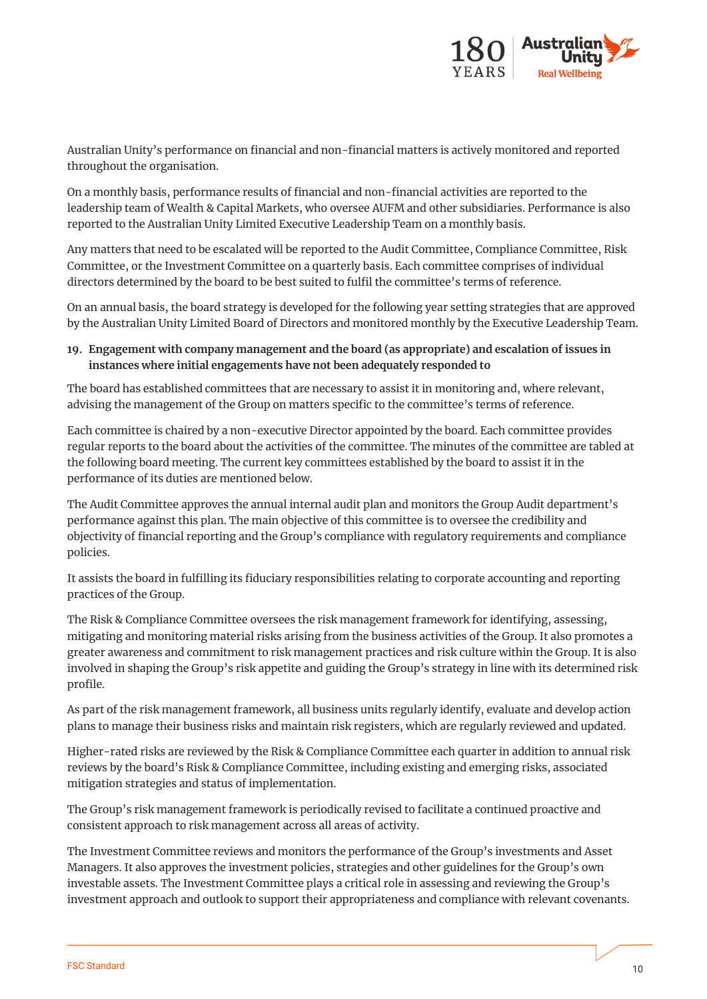

Australian Unity's performance on financial and non-financial matters is actively monitored and reported throughout the organisation.

On a monthly basis, performance results of financial and non-financial activities are reported to the leadership team of Wealth & Capital Markets, who oversee AUFM and other subsidiaries. Performance is also reported to the Australian Unity Limited Executive Leadership Team on a monthly basis.

Any matters that need to be escalated will be reported to the Audit Committee, Compliance Committee, Risk Committee, or the Investment Committee on a quarterly basis. Each committee comprises of individual directors determined by the board to be best suited to fulfil the committee's terms of reference.

On an annual basis, the board strategy is developed for the following year setting strategies that are approved by the Australian Unity Limited Board of Directors and monitored monthly by the Executive Leadership Team.

# **19. Engagement with company management and the board (as appropriate) and escalation of issues in instances where initial engagements have not been adequately responded to**

The board has established committees that are necessary to assist it in monitoring and, where relevant, advising the management of the Group on matters specific to the committee's terms of reference.

Each committee is chaired by a non-executive Director appointed by the board. Each committee provides regular reports to the board about the activities of the committee. The minutes of the committee are tabled at the following board meeting. The current key committees established by the board to assist it in the performance of its duties are mentioned below.

The Audit Committee approves the annual internal audit plan and monitors the Group Audit department's performance against this plan. The main objective of this committee is to oversee the credibility and objectivity of financial reporting and the Group's compliance with regulatory requirements and compliance policies.

It assists the board in fulfilling its fiduciary responsibilities relating to corporate accounting and reporting practices of the Group.

The Risk & Compliance Committee oversees the risk management framework for identifying, assessing, mitigating and monitoring material risks arising from the business activities of the Group. It also promotes a greater awareness and commitment to risk management practices and risk culture within the Group. It is also involved in shaping the Group's risk appetite and guiding the Group's strategy in line with its determined risk profile.

As part of the risk management framework, all business units regularly identify, evaluate and develop action plans to manage their business risks and maintain risk registers, which are regularly reviewed and updated.

Higher-rated risks are reviewed by the Risk & Compliance Committee each quarter in addition to annual risk reviews by the board's Risk & Compliance Committee, including existing and emerging risks, associated mitigation strategies and status of implementation.

The Group's risk management framework is periodically revised to facilitate a continued proactive and consistent approach to risk management across all areas of activity.

The Investment Committee reviews and monitors the performance of the Group's investments and Asset Managers. It also approves the investment policies, strategies and other guidelines for the Group's own investable assets. The Investment Committee plays a critical role in assessing and reviewing the Group's investment approach and outlook to support their appropriateness and compliance with relevant covenants.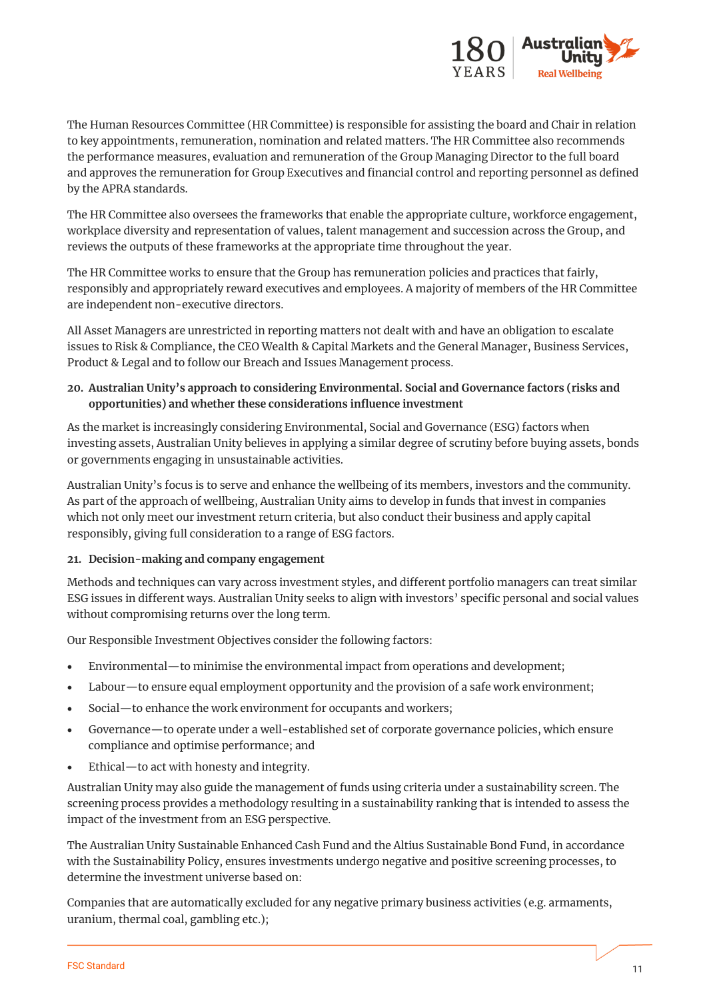

The Human Resources Committee (HR Committee) is responsible for assisting the board and Chair in relation to key appointments, remuneration, nomination and related matters. The HR Committee also recommends the performance measures, evaluation and remuneration of the Group Managing Director to the full board and approves the remuneration for Group Executives and financial control and reporting personnel as defined by the APRA standards.

The HR Committee also oversees the frameworks that enable the appropriate culture, workforce engagement, workplace diversity and representation of values, talent management and succession across the Group, and reviews the outputs of these frameworks at the appropriate time throughout the year.

The HR Committee works to ensure that the Group has remuneration policies and practices that fairly, responsibly and appropriately reward executives and employees. A majority of members of the HR Committee are independent non-executive directors.

All Asset Managers are unrestricted in reporting matters not dealt with and have an obligation to escalate issues to Risk & Compliance, the CEO Wealth & Capital Markets and the General Manager, Business Services, Product & Legal and to follow our Breach and Issues Management process.

# **20. Australian Unity's approach to considering Environmental. Social and Governance factors (risks and opportunities) and whether these considerations influence investment**

As the market is increasingly considering Environmental, Social and Governance (ESG) factors when investing assets, Australian Unity believes in applying a similar degree of scrutiny before buying assets, bonds or governments engaging in unsustainable activities.

Australian Unity's focus is to serve and enhance the wellbeing of its members, investors and the community. As part of the approach of wellbeing, Australian Unity aims to develop in funds that invest in companies which not only meet our investment return criteria, but also conduct their business and apply capital responsibly, giving full consideration to a range of ESG factors.

## **21. Decision-making and company engagement**

Methods and techniques can vary across investment styles, and different portfolio managers can treat similar ESG issues in different ways. Australian Unity seeks to align with investors' specific personal and social values without compromising returns over the long term.

Our Responsible Investment Objectives consider the following factors:

- Environmental—to minimise the environmental impact from operations and development;
- Labour—to ensure equal employment opportunity and the provision of a safe work environment;
- Social—to enhance the work environment for occupants and workers;
- Governance—to operate under a well-established set of corporate governance policies, which ensure compliance and optimise performance; and
- Ethical—to act with honesty and integrity.

Australian Unity may also guide the management of funds using criteria under a sustainability screen. The screening process provides a methodology resulting in a sustainability ranking that is intended to assess the impact of the investment from an ESG perspective.

The Australian Unity Sustainable Enhanced Cash Fund and the Altius Sustainable Bond Fund, in accordance with the Sustainability Policy, ensures investments undergo negative and positive screening processes, to determine the investment universe based on:

Companies that are automatically excluded for any negative primary business activities (e.g. armaments, uranium, thermal coal, gambling etc.);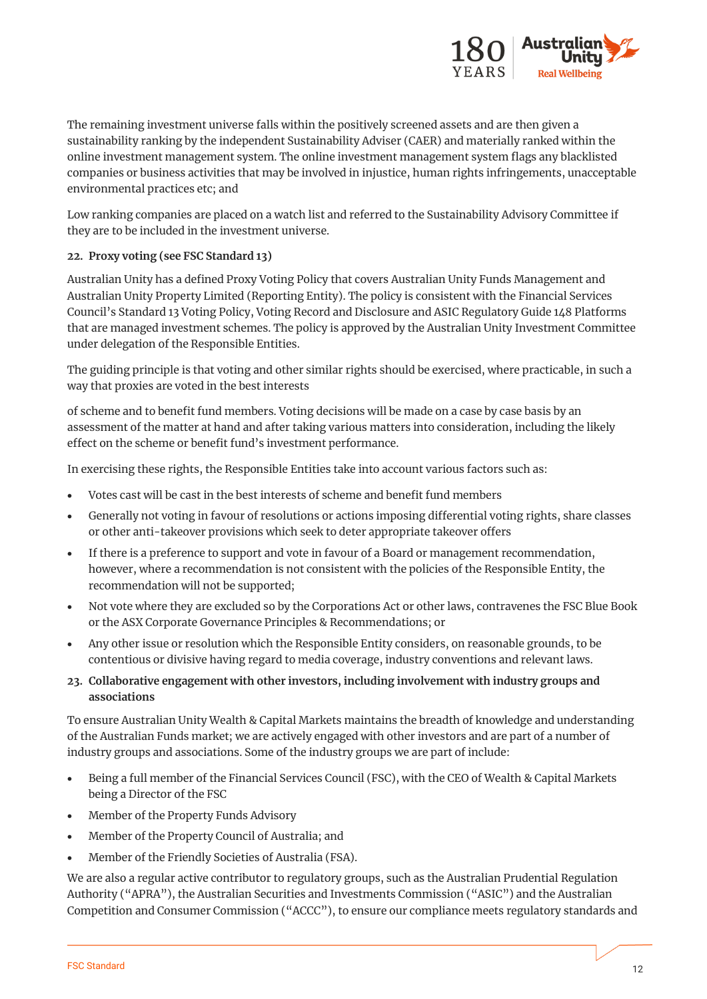

The remaining investment universe falls within the positively screened assets and are then given a sustainability ranking by the independent Sustainability Adviser (CAER) and materially ranked within the online investment management system. The online investment management system flags any blacklisted companies or business activities that may be involved in injustice, human rights infringements, unacceptable environmental practices etc; and

Low ranking companies are placed on a watch list and referred to the Sustainability Advisory Committee if they are to be included in the investment universe.

## **22. Proxy voting (see FSC Standard 13)**

Australian Unity has a defined Proxy Voting Policy that covers Australian Unity Funds Management and Australian Unity Property Limited (Reporting Entity). The policy is consistent with the Financial Services Council's Standard 13 Voting Policy, Voting Record and Disclosure and ASIC Regulatory Guide 148 Platforms that are managed investment schemes. The policy is approved by the Australian Unity Investment Committee under delegation of the Responsible Entities.

The guiding principle is that voting and other similar rights should be exercised, where practicable, in such a way that proxies are voted in the best interests

of scheme and to benefit fund members. Voting decisions will be made on a case by case basis by an assessment of the matter at hand and after taking various matters into consideration, including the likely effect on the scheme or benefit fund's investment performance.

In exercising these rights, the Responsible Entities take into account various factors such as:

- Votes cast will be cast in the best interests of scheme and benefit fund members
- Generally not voting in favour of resolutions or actions imposing differential voting rights, share classes or other anti-takeover provisions which seek to deter appropriate takeover offers
- If there is a preference to support and vote in favour of a Board or management recommendation, however, where a recommendation is not consistent with the policies of the Responsible Entity, the recommendation will not be supported;
- Not vote where they are excluded so by the Corporations Act or other laws, contravenes the FSC Blue Book or the ASX Corporate Governance Principles & Recommendations; or
- Any other issue or resolution which the Responsible Entity considers, on reasonable grounds, to be contentious or divisive having regard to media coverage, industry conventions and relevant laws.
- **23. Collaborative engagement with other investors, including involvement with industry groups and associations**

To ensure Australian Unity Wealth & Capital Markets maintains the breadth of knowledge and understanding of the Australian Funds market; we are actively engaged with other investors and are part of a number of industry groups and associations. Some of the industry groups we are part of include:

- Being a full member of the Financial Services Council (FSC), with the CEO of Wealth & Capital Markets being a Director of the FSC
- Member of the Property Funds Advisory
- Member of the Property Council of Australia; and
- Member of the Friendly Societies of Australia (FSA).

We are also a regular active contributor to regulatory groups, such as the Australian Prudential Regulation Authority ("APRA"), the Australian Securities and Investments Commission ("ASIC") and the Australian Competition and Consumer Commission ("ACCC"), to ensure our compliance meets regulatory standards and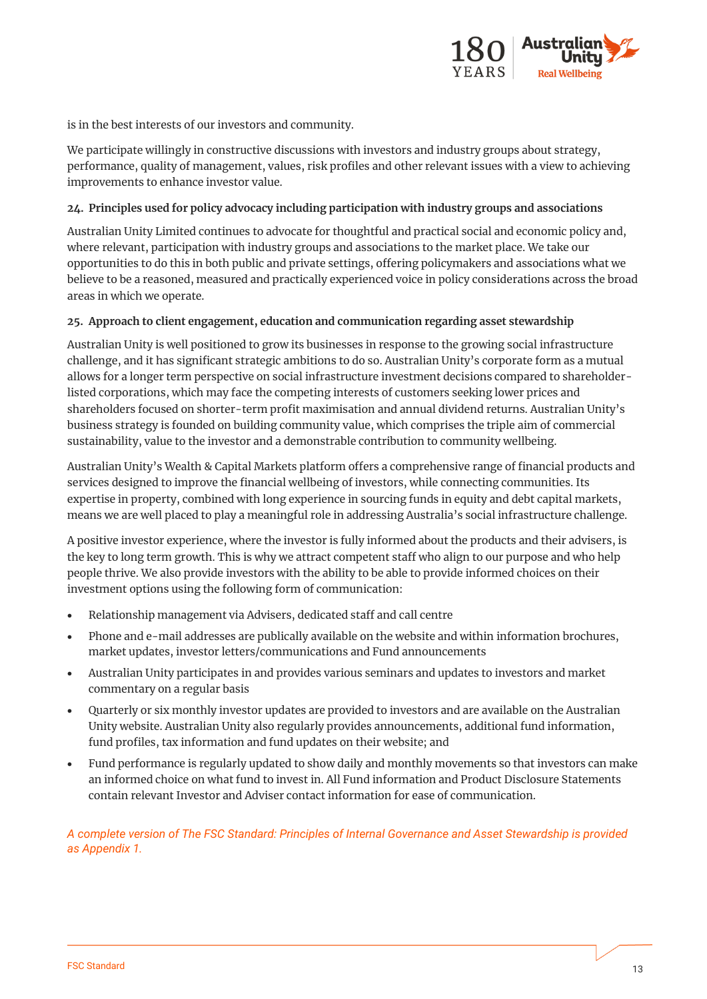

is in the best interests of our investors and community.

We participate willingly in constructive discussions with investors and industry groups about strategy, performance, quality of management, values, risk profiles and other relevant issues with a view to achieving improvements to enhance investor value.

#### **24. Principles used for policy advocacy including participation with industry groups and associations**

Australian Unity Limited continues to advocate for thoughtful and practical social and economic policy and, where relevant, participation with industry groups and associations to the market place. We take our opportunities to do this in both public and private settings, offering policymakers and associations what we believe to be a reasoned, measured and practically experienced voice in policy considerations across the broad areas in which we operate.

#### **25. Approach to client engagement, education and communication regarding asset stewardship**

Australian Unity is well positioned to grow its businesses in response to the growing social infrastructure challenge, and it has significant strategic ambitions to do so. Australian Unity's corporate form as a mutual allows for a longer term perspective on social infrastructure investment decisions compared to shareholderlisted corporations, which may face the competing interests of customers seeking lower prices and shareholders focused on shorter-term profit maximisation and annual dividend returns. Australian Unity's business strategy is founded on building community value, which comprises the triple aim of commercial sustainability, value to the investor and a demonstrable contribution to community wellbeing.

Australian Unity's Wealth & Capital Markets platform offers a comprehensive range of financial products and services designed to improve the financial wellbeing of investors, while connecting communities. Its expertise in property, combined with long experience in sourcing funds in equity and debt capital markets, means we are well placed to play a meaningful role in addressing Australia's social infrastructure challenge.

A positive investor experience, where the investor is fully informed about the products and their advisers, is the key to long term growth. This is why we attract competent staff who align to our purpose and who help people thrive. We also provide investors with the ability to be able to provide informed choices on their investment options using the following form of communication:

- Relationship management via Advisers, dedicated staff and call centre
- Phone and e-mail addresses are publically available on the website and within information brochures, market updates, investor letters/communications and Fund announcements
- Australian Unity participates in and provides various seminars and updates to investors and market commentary on a regular basis
- Quarterly or six monthly investor updates are provided to investors and are available on the Australian Unity website. Australian Unity also regularly provides announcements, additional fund information, fund profiles, tax information and fund updates on their website; and
- Fund performance is regularly updated to show daily and monthly movements so that investors can make an informed choice on what fund to invest in. All Fund information and Product Disclosure Statements contain relevant Investor and Adviser contact information for ease of communication.

## *A complete version of The FSC Standard: Principles of Internal Governance and Asset Stewardship is provided as Appendix 1.*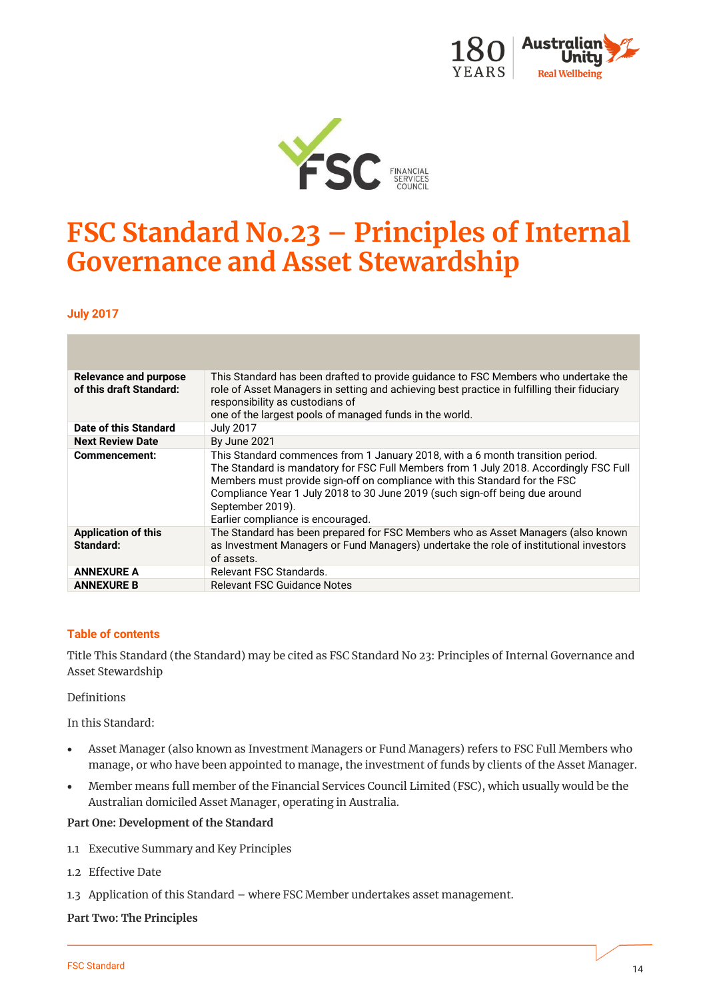



# **FSC Standard No.23 – Principles of Internal Governance and Asset Stewardship**

**July 2017**

| Relevance and purpose<br>of this draft Standard: | This Standard has been drafted to provide quidance to FSC Members who undertake the<br>role of Asset Managers in setting and achieving best practice in fulfilling their fiduciary<br>responsibility as custodians of<br>one of the largest pools of managed funds in the world.                                                                                                              |
|--------------------------------------------------|-----------------------------------------------------------------------------------------------------------------------------------------------------------------------------------------------------------------------------------------------------------------------------------------------------------------------------------------------------------------------------------------------|
| Date of this Standard                            | <b>July 2017</b>                                                                                                                                                                                                                                                                                                                                                                              |
| <b>Next Review Date</b>                          | <b>By June 2021</b>                                                                                                                                                                                                                                                                                                                                                                           |
| Commencement:                                    | This Standard commences from 1 January 2018, with a 6 month transition period.<br>The Standard is mandatory for FSC Full Members from 1 July 2018. Accordingly FSC Full<br>Members must provide sign-off on compliance with this Standard for the FSC<br>Compliance Year 1 July 2018 to 30 June 2019 (such sign-off being due around<br>September 2019).<br>Earlier compliance is encouraged. |
| <b>Application of this</b><br>Standard:          | The Standard has been prepared for FSC Members who as Asset Managers (also known<br>as Investment Managers or Fund Managers) undertake the role of institutional investors<br>of assets.                                                                                                                                                                                                      |
| <b>ANNEXURE A</b>                                | Relevant FSC Standards.                                                                                                                                                                                                                                                                                                                                                                       |
| <b>ANNEXURE B</b>                                | Relevant FSC Guidance Notes                                                                                                                                                                                                                                                                                                                                                                   |

## **Table of contents**

Title This Standard (the Standard) may be cited as FSC Standard No 23: Principles of Internal Governance and Asset Stewardship

#### Definitions

In this Standard:

- Asset Manager (also known as Investment Managers or Fund Managers) refers to FSC Full Members who manage, or who have been appointed to manage, the investment of funds by clients of the Asset Manager.
- Member means full member of the Financial Services Council Limited (FSC), which usually would be the Australian domiciled Asset Manager, operating in Australia.

#### **Part One: Development of the Standard**

- 1.1 Executive Summary and Key Principles
- 1.2 Effective Date
- 1.3 Application of this Standard where FSC Member undertakes asset management.

#### **Part Two: The Principles**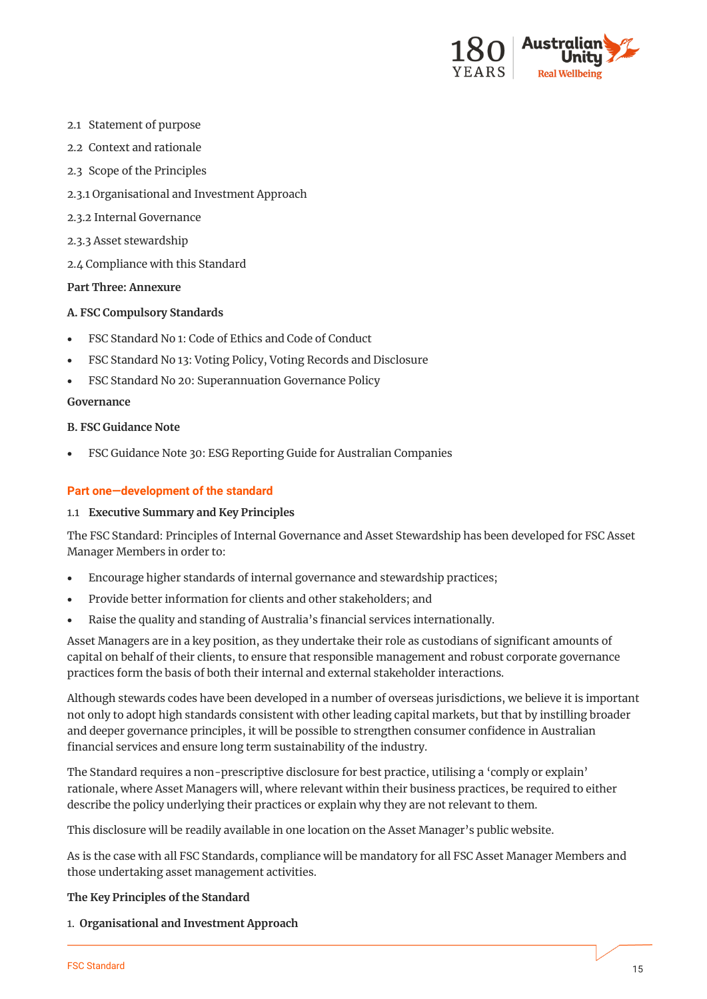

- 2.1 Statement of purpose
- 2.2 Context and rationale
- 2.3 Scope of the Principles
- 2.3.1 Organisational and Investment Approach
- 2.3.2 Internal Governance
- 2.3.3 Asset stewardship
- 2.4 Compliance with this Standard

#### **Part Three: Annexure**

#### **A. FSC Compulsory Standards**

- FSC Standard No 1: Code of Ethics and Code of Conduct
- FSC Standard No 13: Voting Policy, Voting Records and Disclosure
- FSC Standard No 20: Superannuation Governance Policy

#### **Governance**

#### **B. FSC Guidance Note**

• FSC Guidance Note 30: ESG Reporting Guide for Australian Companies

#### **Part one—development of the standard**

#### 1.1 **Executive Summary and Key Principles**

The FSC Standard: Principles of Internal Governance and Asset Stewardship has been developed for FSC Asset Manager Members in order to:

- Encourage higher standards of internal governance and stewardship practices;
- Provide better information for clients and other stakeholders; and
- Raise the quality and standing of Australia's financial services internationally.

Asset Managers are in a key position, as they undertake their role as custodians of significant amounts of capital on behalf of their clients, to ensure that responsible management and robust corporate governance practices form the basis of both their internal and external stakeholder interactions.

Although stewards codes have been developed in a number of overseas jurisdictions, we believe it is important not only to adopt high standards consistent with other leading capital markets, but that by instilling broader and deeper governance principles, it will be possible to strengthen consumer confidence in Australian financial services and ensure long term sustainability of the industry.

The Standard requires a non-prescriptive disclosure for best practice, utilising a 'comply or explain' rationale, where Asset Managers will, where relevant within their business practices, be required to either describe the policy underlying their practices or explain why they are not relevant to them.

This disclosure will be readily available in one location on the Asset Manager's public website.

As is the case with all FSC Standards, compliance will be mandatory for all FSC Asset Manager Members and those undertaking asset management activities.

#### **The Key Principles of the Standard**

1. **Organisational and Investment Approach**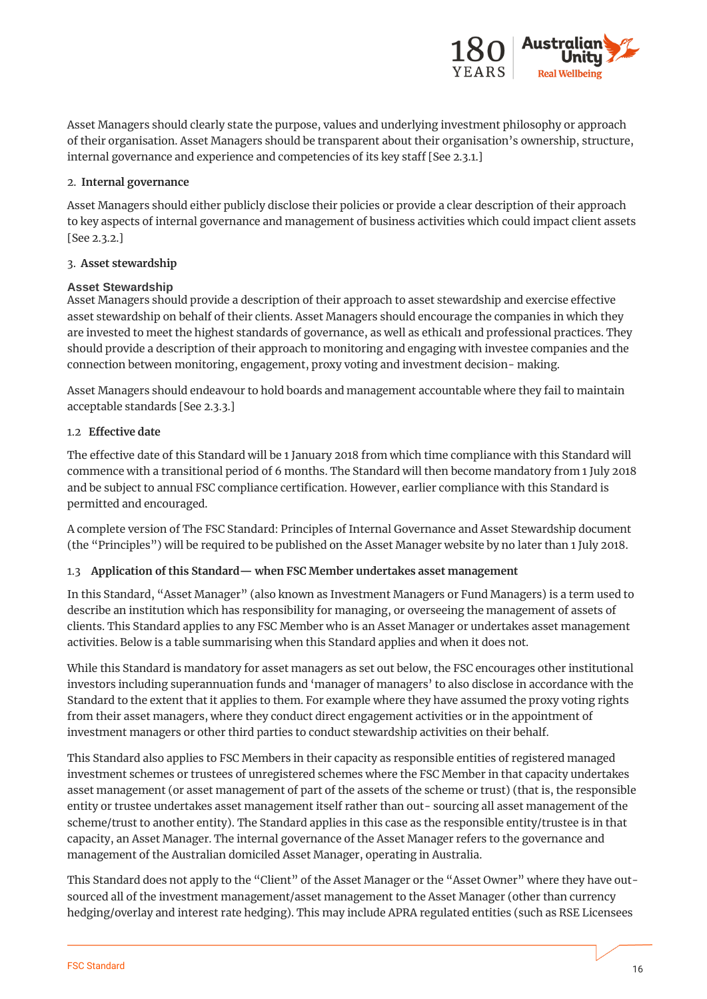

Asset Managers should clearly state the purpose, values and underlying investment philosophy or approach of their organisation. Asset Managers should be transparent about their organisation's ownership, structure, internal governance and experience and competencies of its key staff [See 2.3.1.]

## 2. **Internal governance**

Asset Managers should either publicly disclose their policies or provide a clear description of their approach to key aspects of internal governance and management of business activities which could impact client assets [See 2.3.2.]

# 3. **Asset stewardship**

# **Asset Stewardship**

Asset Managers should provide a description of their approach to asset stewardship and exercise effective asset stewardship on behalf of their clients. Asset Managers should encourage the companies in which they are invested to meet the highest standards of governance, as well as ethical1 and professional practices. They should provide a description of their approach to monitoring and engaging with investee companies and the connection between monitoring, engagement, proxy voting and investment decision- making.

Asset Managers should endeavour to hold boards and management accountable where they fail to maintain acceptable standards [See 2.3.3.]

# 1.2 **Effective date**

The effective date of this Standard will be 1 January 2018 from which time compliance with this Standard will commence with a transitional period of 6 months. The Standard will then become mandatory from 1 July 2018 and be subject to annual FSC compliance certification. However, earlier compliance with this Standard is permitted and encouraged.

A complete version of The FSC Standard: Principles of Internal Governance and Asset Stewardship document (the "Principles") will be required to be published on the Asset Manager website by no later than 1 July 2018.

# 1.3 **Application of this Standard— when FSC Member undertakes asset management**

In this Standard, "Asset Manager" (also known as Investment Managers or Fund Managers) is a term used to describe an institution which has responsibility for managing, or overseeing the management of assets of clients. This Standard applies to any FSC Member who is an Asset Manager or undertakes asset management activities. Below is a table summarising when this Standard applies and when it does not.

While this Standard is mandatory for asset managers as set out below, the FSC encourages other institutional investors including superannuation funds and 'manager of managers' to also disclose in accordance with the Standard to the extent that it applies to them. For example where they have assumed the proxy voting rights from their asset managers, where they conduct direct engagement activities or in the appointment of investment managers or other third parties to conduct stewardship activities on their behalf.

This Standard also applies to FSC Members in their capacity as responsible entities of registered managed investment schemes or trustees of unregistered schemes where the FSC Member in that capacity undertakes asset management (or asset management of part of the assets of the scheme or trust) (that is, the responsible entity or trustee undertakes asset management itself rather than out- sourcing all asset management of the scheme/trust to another entity). The Standard applies in this case as the responsible entity/trustee is in that capacity, an Asset Manager. The internal governance of the Asset Manager refers to the governance and management of the Australian domiciled Asset Manager, operating in Australia.

This Standard does not apply to the "Client" of the Asset Manager or the "Asset Owner" where they have outsourced all of the investment management/asset management to the Asset Manager (other than currency hedging/overlay and interest rate hedging). This may include APRA regulated entities (such as RSE Licensees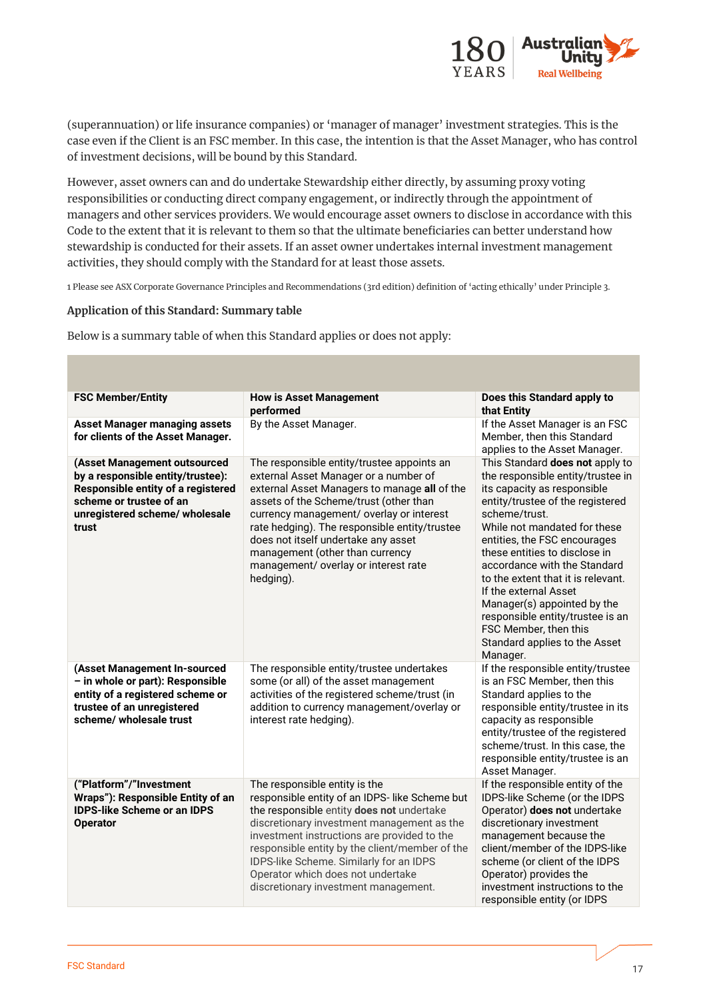

(superannuation) or life insurance companies) or 'manager of manager' investment strategies. This is the case even if the Client is an FSC member. In this case, the intention is that the Asset Manager, who has control of investment decisions, will be bound by this Standard.

However, asset owners can and do undertake Stewardship either directly, by assuming proxy voting responsibilities or conducting direct company engagement, or indirectly through the appointment of managers and other services providers. We would encourage asset owners to disclose in accordance with this Code to the extent that it is relevant to them so that the ultimate beneficiaries can better understand how stewardship is conducted for their assets. If an asset owner undertakes internal investment management activities, they should comply with the Standard for at least those assets.

1 Please see ASX Corporate Governance Principles and Recommendations (3rd edition) definition of 'acting ethically' under Principle 3.

#### **Application of this Standard: Summary table**

Below is a summary table of when this Standard applies or does not apply:

| <b>FSC Member/Entity</b>                                                                                                                                                      | <b>How is Asset Management</b><br>performed                                                                                                                                                                                                                                                                                                                                                               | Does this Standard apply to<br>that Entity                                                                                                                                                                                                                                                                                                                                                                                                                                                        |
|-------------------------------------------------------------------------------------------------------------------------------------------------------------------------------|-----------------------------------------------------------------------------------------------------------------------------------------------------------------------------------------------------------------------------------------------------------------------------------------------------------------------------------------------------------------------------------------------------------|---------------------------------------------------------------------------------------------------------------------------------------------------------------------------------------------------------------------------------------------------------------------------------------------------------------------------------------------------------------------------------------------------------------------------------------------------------------------------------------------------|
| <b>Asset Manager managing assets</b><br>for clients of the Asset Manager.                                                                                                     | By the Asset Manager.                                                                                                                                                                                                                                                                                                                                                                                     | If the Asset Manager is an FSC<br>Member, then this Standard<br>applies to the Asset Manager.                                                                                                                                                                                                                                                                                                                                                                                                     |
| (Asset Management outsourced<br>by a responsible entity/trustee):<br>Responsible entity of a registered<br>scheme or trustee of an<br>unregistered scheme/ wholesale<br>trust | The responsible entity/trustee appoints an<br>external Asset Manager or a number of<br>external Asset Managers to manage all of the<br>assets of the Scheme/trust (other than<br>currency management/ overlay or interest<br>rate hedging). The responsible entity/trustee<br>does not itself undertake any asset<br>management (other than currency<br>management/ overlay or interest rate<br>hedging). | This Standard does not apply to<br>the responsible entity/trustee in<br>its capacity as responsible<br>entity/trustee of the registered<br>scheme/trust.<br>While not mandated for these<br>entities, the FSC encourages<br>these entities to disclose in<br>accordance with the Standard<br>to the extent that it is relevant.<br>If the external Asset<br>Manager(s) appointed by the<br>responsible entity/trustee is an<br>FSC Member, then this<br>Standard applies to the Asset<br>Manager. |
| (Asset Management In-sourced<br>- in whole or part): Responsible<br>entity of a registered scheme or<br>trustee of an unregistered<br>scheme/wholesale trust                  | The responsible entity/trustee undertakes<br>some (or all) of the asset management<br>activities of the registered scheme/trust (in<br>addition to currency management/overlay or<br>interest rate hedging).                                                                                                                                                                                              | If the responsible entity/trustee<br>is an FSC Member, then this<br>Standard applies to the<br>responsible entity/trustee in its<br>capacity as responsible<br>entity/trustee of the registered<br>scheme/trust. In this case, the<br>responsible entity/trustee is an<br>Asset Manager.                                                                                                                                                                                                          |
| ("Platform"/"Investment<br>Wraps"): Responsible Entity of an<br><b>IDPS-like Scheme or an IDPS</b><br><b>Operator</b>                                                         | The responsible entity is the<br>responsible entity of an IDPS- like Scheme but<br>the responsible entity does not undertake<br>discretionary investment management as the<br>investment instructions are provided to the<br>responsible entity by the client/member of the<br>IDPS-like Scheme. Similarly for an IDPS<br>Operator which does not undertake<br>discretionary investment management.       | If the responsible entity of the<br>IDPS-like Scheme (or the IDPS<br>Operator) does not undertake<br>discretionary investment<br>management because the<br>client/member of the IDPS-like<br>scheme (or client of the IDPS<br>Operator) provides the<br>investment instructions to the<br>responsible entity (or IDPS                                                                                                                                                                             |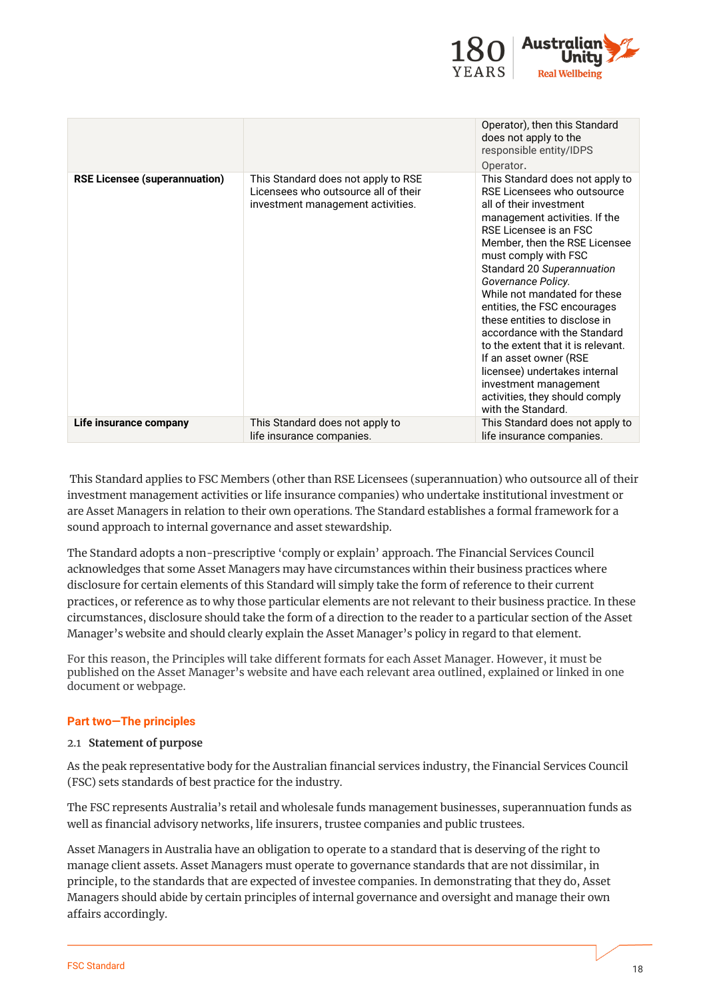

|                                      |                                                                                                                  | Operator), then this Standard<br>does not apply to the<br>responsible entity/IDPS<br>Operator.                                                                                                                                                                                                                                                                                                                                                                                                                                                                                       |
|--------------------------------------|------------------------------------------------------------------------------------------------------------------|--------------------------------------------------------------------------------------------------------------------------------------------------------------------------------------------------------------------------------------------------------------------------------------------------------------------------------------------------------------------------------------------------------------------------------------------------------------------------------------------------------------------------------------------------------------------------------------|
| <b>RSE Licensee (superannuation)</b> | This Standard does not apply to RSE<br>Licensees who outsource all of their<br>investment management activities. | This Standard does not apply to<br>RSE Licensees who outsource<br>all of their investment<br>management activities. If the<br>RSE Licensee is an ESC<br>Member, then the RSE Licensee<br>must comply with FSC<br>Standard 20 Superannuation<br>Governance Policy.<br>While not mandated for these<br>entities, the FSC encourages<br>these entities to disclose in<br>accordance with the Standard<br>to the extent that it is relevant.<br>If an asset owner (RSE<br>licensee) undertakes internal<br>investment management<br>activities, they should comply<br>with the Standard. |
| Life insurance company               | This Standard does not apply to<br>life insurance companies.                                                     | This Standard does not apply to<br>life insurance companies.                                                                                                                                                                                                                                                                                                                                                                                                                                                                                                                         |

This Standard applies to FSC Members (other than RSE Licensees (superannuation) who outsource all of their investment management activities or life insurance companies) who undertake institutional investment or are Asset Managers in relation to their own operations. The Standard establishes a formal framework for a sound approach to internal governance and asset stewardship.

The Standard adopts a non-prescriptive 'comply or explain' approach. The Financial Services Council acknowledges that some Asset Managers may have circumstances within their business practices where disclosure for certain elements of this Standard will simply take the form of reference to their current practices, or reference as to why those particular elements are not relevant to their business practice. In these circumstances, disclosure should take the form of a direction to the reader to a particular section of the Asset Manager's website and should clearly explain the Asset Manager's policy in regard to that element.

For this reason, the Principles will take different formats for each Asset Manager. However, it must be published on the Asset Manager's website and have each relevant area outlined, explained or linked in one document or webpage.

## **Part two—The principles**

#### 2.1 **Statement of purpose**

As the peak representative body for the Australian financial services industry, the Financial Services Council (FSC) sets standards of best practice for the industry.

The FSC represents Australia's retail and wholesale funds management businesses, superannuation funds as well as financial advisory networks, life insurers, trustee companies and public trustees.

Asset Managers in Australia have an obligation to operate to a standard that is deserving of the right to manage client assets. Asset Managers must operate to governance standards that are not dissimilar, in principle, to the standards that are expected of investee companies. In demonstrating that they do, Asset Managers should abide by certain principles of internal governance and oversight and manage their own affairs accordingly.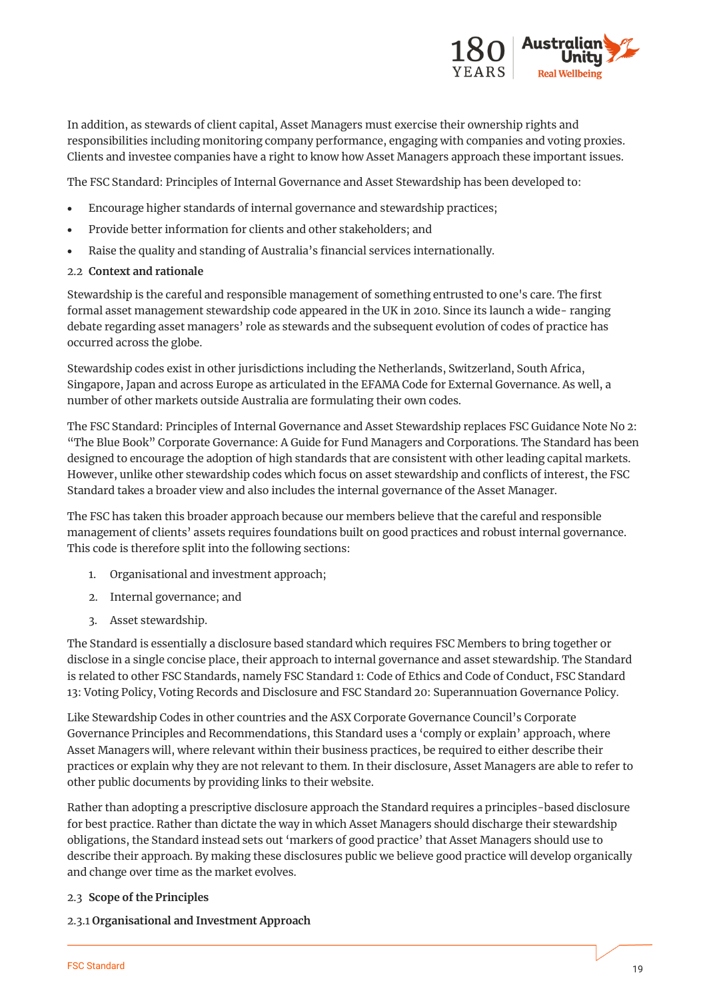

In addition, as stewards of client capital, Asset Managers must exercise their ownership rights and responsibilities including monitoring company performance, engaging with companies and voting proxies. Clients and investee companies have a right to know how Asset Managers approach these important issues.

The FSC Standard: Principles of Internal Governance and Asset Stewardship has been developed to:

- Encourage higher standards of internal governance and stewardship practices;
- Provide better information for clients and other stakeholders; and
- Raise the quality and standing of Australia's financial services internationally.
- 2.2 **Context and rationale**

Stewardship is the careful and responsible management of something entrusted to one's care. The first formal asset management stewardship code appeared in the UK in 2010. Since its launch a wide- ranging debate regarding asset managers' role as stewards and the subsequent evolution of codes of practice has occurred across the globe.

Stewardship codes exist in other jurisdictions including the Netherlands, Switzerland, South Africa, Singapore, Japan and across Europe as articulated in the EFAMA Code for External Governance. As well, a number of other markets outside Australia are formulating their own codes.

The FSC Standard: Principles of Internal Governance and Asset Stewardship replaces FSC Guidance Note No 2: "The Blue Book" Corporate Governance: A Guide for Fund Managers and Corporations. The Standard has been designed to encourage the adoption of high standards that are consistent with other leading capital markets. However, unlike other stewardship codes which focus on asset stewardship and conflicts of interest, the FSC Standard takes a broader view and also includes the internal governance of the Asset Manager.

The FSC has taken this broader approach because our members believe that the careful and responsible management of clients' assets requires foundations built on good practices and robust internal governance. This code is therefore split into the following sections:

- 1. Organisational and investment approach;
- 2. Internal governance; and
- 3. Asset stewardship.

The Standard is essentially a disclosure based standard which requires FSC Members to bring together or disclose in a single concise place, their approach to internal governance and asset stewardship. The Standard is related to other FSC Standards, namely FSC Standard 1: Code of Ethics and Code of Conduct, FSC Standard 13: Voting Policy, Voting Records and Disclosure and FSC Standard 20: Superannuation Governance Policy.

Like Stewardship Codes in other countries and the ASX Corporate Governance Council's Corporate Governance Principles and Recommendations, this Standard uses a 'comply or explain' approach, where Asset Managers will, where relevant within their business practices, be required to either describe their practices or explain why they are not relevant to them. In their disclosure, Asset Managers are able to refer to other public documents by providing links to their website.

Rather than adopting a prescriptive disclosure approach the Standard requires a principles-based disclosure for best practice. Rather than dictate the way in which Asset Managers should discharge their stewardship obligations, the Standard instead sets out 'markers of good practice' that Asset Managers should use to describe their approach. By making these disclosures public we believe good practice will develop organically and change over time as the market evolves.

## 2.3 **Scope of the Principles**

2.3.1 **Organisational and Investment Approach**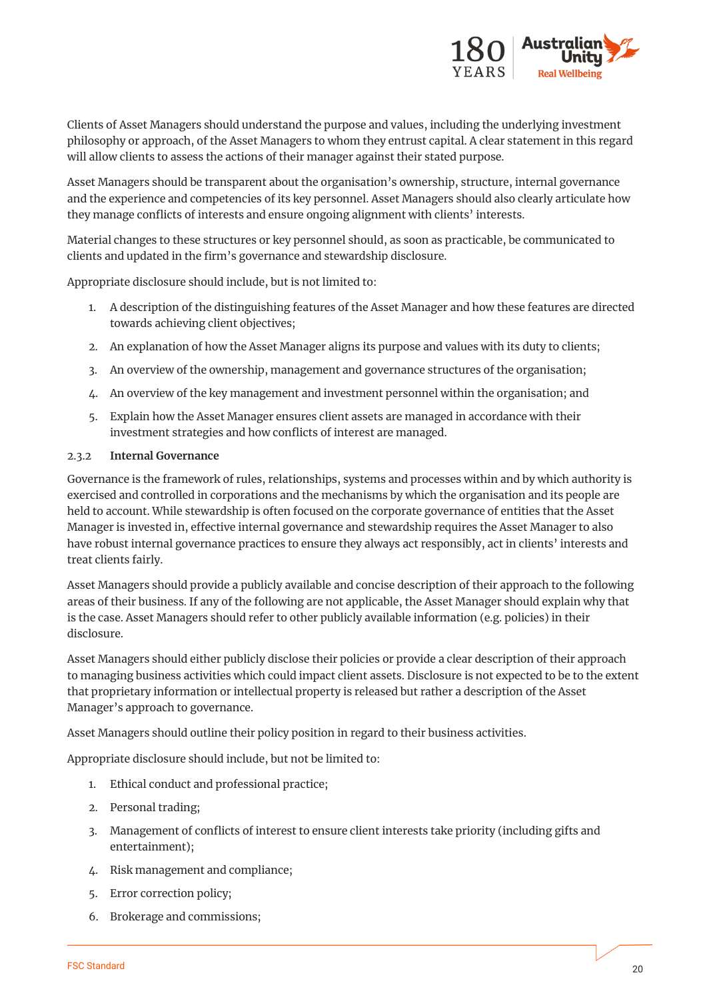

Clients of Asset Managers should understand the purpose and values, including the underlying investment philosophy or approach, of the Asset Managers to whom they entrust capital. A clear statement in this regard will allow clients to assess the actions of their manager against their stated purpose.

Asset Managers should be transparent about the organisation's ownership, structure, internal governance and the experience and competencies of its key personnel. Asset Managers should also clearly articulate how they manage conflicts of interests and ensure ongoing alignment with clients' interests.

Material changes to these structures or key personnel should, as soon as practicable, be communicated to clients and updated in the firm's governance and stewardship disclosure.

Appropriate disclosure should include, but is not limited to:

- 1. A description of the distinguishing features of the Asset Manager and how these features are directed towards achieving client objectives;
- 2. An explanation of how the Asset Manager aligns its purpose and values with its duty to clients;
- 3. An overview of the ownership, management and governance structures of the organisation;
- 4. An overview of the key management and investment personnel within the organisation; and
- 5. Explain how the Asset Manager ensures client assets are managed in accordance with their investment strategies and how conflicts of interest are managed.

#### 2.3.2 **Internal Governance**

Governance is the framework of rules, relationships, systems and processes within and by which authority is exercised and controlled in corporations and the mechanisms by which the organisation and its people are held to account. While stewardship is often focused on the corporate governance of entities that the Asset Manager is invested in, effective internal governance and stewardship requires the Asset Manager to also have robust internal governance practices to ensure they always act responsibly, act in clients' interests and treat clients fairly.

Asset Managers should provide a publicly available and concise description of their approach to the following areas of their business. If any of the following are not applicable, the Asset Manager should explain why that is the case. Asset Managers should refer to other publicly available information (e.g. policies) in their disclosure.

Asset Managers should either publicly disclose their policies or provide a clear description of their approach to managing business activities which could impact client assets. Disclosure is not expected to be to the extent that proprietary information or intellectual property is released but rather a description of the Asset Manager's approach to governance.

Asset Managers should outline their policy position in regard to their business activities.

Appropriate disclosure should include, but not be limited to:

- 1. Ethical conduct and professional practice;
- 2. Personal trading;
- 3. Management of conflicts of interest to ensure client interests take priority (including gifts and entertainment);
- 4. Risk management and compliance;
- 5. Error correction policy;
- 6. Brokerage and commissions;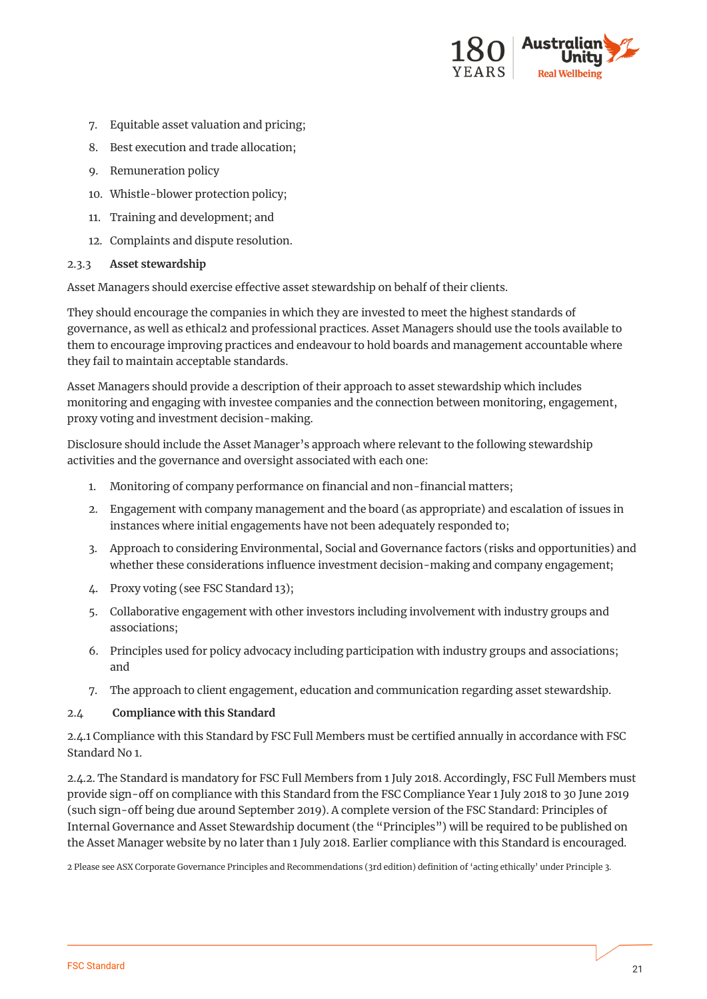

- 7. Equitable asset valuation and pricing;
- 8. Best execution and trade allocation;
- 9. Remuneration policy
- 10. Whistle-blower protection policy;
- 11. Training and development; and
- 12. Complaints and dispute resolution.

#### 2.3.3 **Asset stewardship**

Asset Managers should exercise effective asset stewardship on behalf of their clients.

They should encourage the companies in which they are invested to meet the highest standards of governance, as well as ethical2 and professional practices. Asset Managers should use the tools available to them to encourage improving practices and endeavour to hold boards and management accountable where they fail to maintain acceptable standards.

Asset Managers should provide a description of their approach to asset stewardship which includes monitoring and engaging with investee companies and the connection between monitoring, engagement, proxy voting and investment decision-making.

Disclosure should include the Asset Manager's approach where relevant to the following stewardship activities and the governance and oversight associated with each one:

- 1. Monitoring of company performance on financial and non-financial matters;
- 2. Engagement with company management and the board (as appropriate) and escalation of issues in instances where initial engagements have not been adequately responded to;
- 3. Approach to considering Environmental, Social and Governance factors (risks and opportunities) and whether these considerations influence investment decision-making and company engagement;
- 4. Proxy voting (see FSC Standard 13);
- 5. Collaborative engagement with other investors including involvement with industry groups and associations;
- 6. Principles used for policy advocacy including participation with industry groups and associations; and
- 7. The approach to client engagement, education and communication regarding asset stewardship.

#### 2.4 **Compliance with this Standard**

2.4.1 Compliance with this Standard by FSC Full Members must be certified annually in accordance with FSC Standard No 1.

2.4.2. The Standard is mandatory for FSC Full Members from 1 July 2018. Accordingly, FSC Full Members must provide sign-off on compliance with this Standard from the FSC Compliance Year 1 July 2018 to 30 June 2019 (such sign-off being due around September 2019). A complete version of the FSC Standard: Principles of Internal Governance and Asset Stewardship document (the "Principles") will be required to be published on the Asset Manager website by no later than 1 July 2018. Earlier compliance with this Standard is encouraged.

2 Please see ASX Corporate Governance Principles and Recommendations (3rd edition) definition of 'acting ethically' under Principle 3.